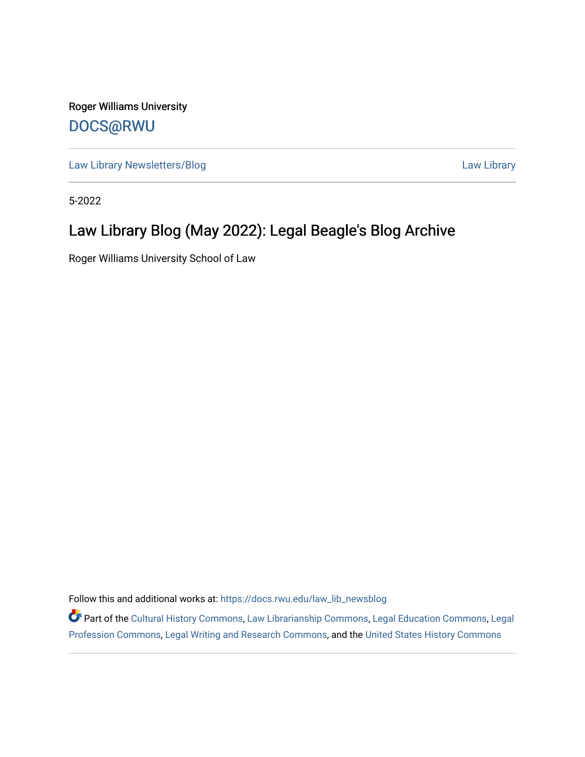Roger Williams University [DOCS@RWU](https://docs.rwu.edu/)

[Law Library Newsletters/Blog](https://docs.rwu.edu/law_lib_newsblog) [Law Library](https://docs.rwu.edu/law_lib) Caw Library

5-2022

### Law Library Blog (May 2022): Legal Beagle's Blog Archive

Roger Williams University School of Law

Follow this and additional works at: [https://docs.rwu.edu/law\\_lib\\_newsblog](https://docs.rwu.edu/law_lib_newsblog?utm_source=docs.rwu.edu%2Flaw_lib_newsblog%2F213&utm_medium=PDF&utm_campaign=PDFCoverPages) 

Part of the [Cultural History Commons](https://network.bepress.com/hgg/discipline/496?utm_source=docs.rwu.edu%2Flaw_lib_newsblog%2F213&utm_medium=PDF&utm_campaign=PDFCoverPages), [Law Librarianship Commons,](https://network.bepress.com/hgg/discipline/1393?utm_source=docs.rwu.edu%2Flaw_lib_newsblog%2F213&utm_medium=PDF&utm_campaign=PDFCoverPages) [Legal Education Commons,](https://network.bepress.com/hgg/discipline/857?utm_source=docs.rwu.edu%2Flaw_lib_newsblog%2F213&utm_medium=PDF&utm_campaign=PDFCoverPages) [Legal](https://network.bepress.com/hgg/discipline/1075?utm_source=docs.rwu.edu%2Flaw_lib_newsblog%2F213&utm_medium=PDF&utm_campaign=PDFCoverPages) [Profession Commons,](https://network.bepress.com/hgg/discipline/1075?utm_source=docs.rwu.edu%2Flaw_lib_newsblog%2F213&utm_medium=PDF&utm_campaign=PDFCoverPages) [Legal Writing and Research Commons](https://network.bepress.com/hgg/discipline/614?utm_source=docs.rwu.edu%2Flaw_lib_newsblog%2F213&utm_medium=PDF&utm_campaign=PDFCoverPages), and the [United States History Commons](https://network.bepress.com/hgg/discipline/495?utm_source=docs.rwu.edu%2Flaw_lib_newsblog%2F213&utm_medium=PDF&utm_campaign=PDFCoverPages)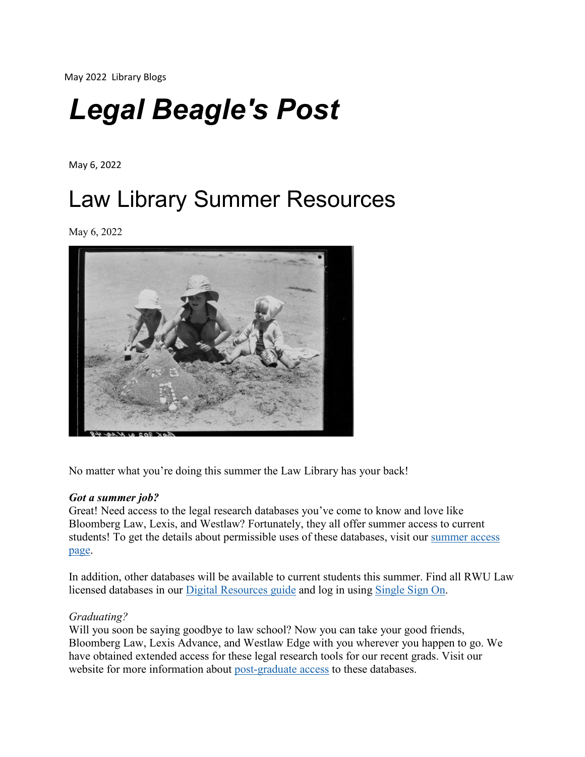May 2022 Library Blogs

# *Legal Beagle's Post*

May 6, 2022

## Law Library Summer Resources

May 6, 2022



No matter what you're doing this summer the Law Library has your back!

#### *Got a summer job?*

Great! Need access to the legal research databases you've come to know and love like Bloomberg Law, Lexis, and Westlaw? Fortunately, they all offer summer access to current students! To get the details about permissible uses of these databases, visit our [summer](https://lawguides.rwu.edu/BloombergLexisWestlaw/Summer) access [page.](https://lawguides.rwu.edu/BloombergLexisWestlaw/Summer)

In addition, other databases will be available to current students this summer. Find all RWU Law licensed databases in our Digital [Resources guide](https://lawguides.rwu.edu/digitalresources) and log in using [Single](https://law.rwu.edu/library/help-services/campus-access-digital-resources) Sign On.

#### *Graduating?*

Will you soon be saying goodbye to law school? Now you can take your good friends, Bloomberg Law, Lexis Advance, and Westlaw Edge with you wherever you happen to go. We have obtained extended access for these legal research tools for our recent grads. Visit our website for more information about [post-graduate](https://lawguides.rwu.edu/BloombergLexisWestlaw/Grad) access to these databases.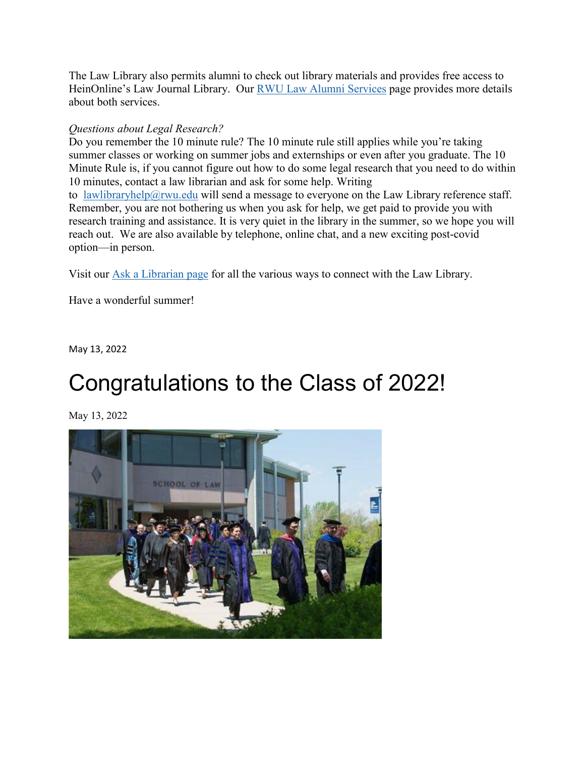The Law Library also permits alumni to check out library materials and provides free access to HeinOnline's Law Journal Library. Our RWU [Law Alumni Services](https://law.rwu.edu/library/about-library/rwu-law-alumni-services) page provides more details about both services.

#### *Questions about Legal Research?*

Do you remember the 10 minute rule? The 10 minute rule still applies while you're taking summer classes or working on summer jobs and externships or even after you graduate. The 10 Minute Rule is, if you cannot figure out how to do some legal research that you need to do within 10 minutes, contact a law librarian and ask for some help. Writing to [lawlibraryhelp@rwu.edu](mailto:%20lawlibraryhelp@rwu.edu) will send a message to everyone on the Law Library reference staff. Remember, you are not bothering us when you ask for help, we get paid to provide you with research training and assistance. It is very quiet in the library in the summer, so we hope you will reach out. We are also available by telephone, online chat, and a new exciting post-covid option—in person.

Visit our [Ask a Librarian page](https://lawguides.rwu.edu/AskaLibrarian) for all the various ways to connect with the Law Library.

Have a wonderful summer!

May 13, 2022

### Congratulations to the Class of 2022!

May 13, 2022

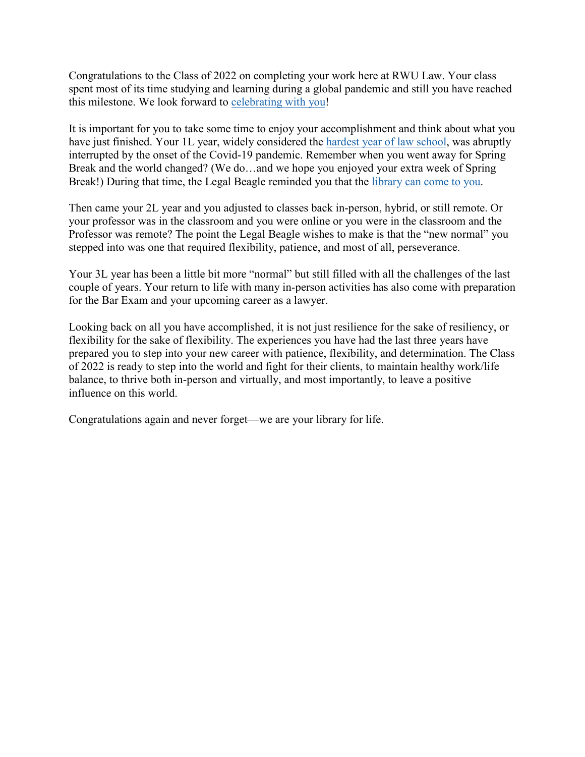Congratulations to the Class of 2022 on completing your work here at RWU Law. Your class spent most of its time studying and learning during a global pandemic and still you have reached this milestone. We look forward to [celebrating](https://law.rwu.edu/events/school-law-commencement-1) with you!

It is important for you to take some time to enjoy your accomplishment and think about what you have just finished. Your 1L year, widely considered the hardest year of [law school,](https://bit.ly/3L6fkpm) was abruptly interrupted by the onset of the Covid-19 pandemic. Remember when you went away for Spring Break and the world changed? (We do…and we hope you enjoyed your extra week of Spring Break!) During that time, the Legal Beagle reminded you that the [library](https://law.rwu.edu/library/blog/cant-come-library-library-resources-can-come-you) can come to you.

Then came your 2L year and you adjusted to classes back in-person, hybrid, or still remote. Or your professor was in the classroom and you were online or you were in the classroom and the Professor was remote? The point the Legal Beagle wishes to make is that the "new normal" you stepped into was one that required flexibility, patience, and most of all, perseverance.

Your 3L year has been a little bit more "normal" but still filled with all the challenges of the last couple of years. Your return to life with many in-person activities has also come with preparation for the Bar Exam and your upcoming career as a lawyer.

Looking back on all you have accomplished, it is not just resilience for the sake of resiliency, or flexibility for the sake of flexibility. The experiences you have had the last three years have prepared you to step into your new career with patience, flexibility, and determination. The Class of 2022 is ready to step into the world and fight for their clients, to maintain healthy work/life balance, to thrive both in-person and virtually, and most importantly, to leave a positive influence on this world.

Congratulations again and never forget—we are your library for life.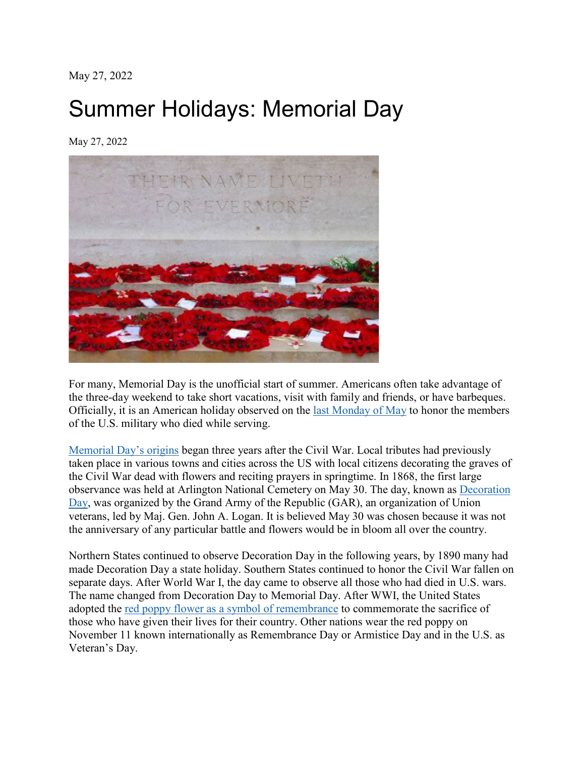May 27, 2022

### Summer Holidays: Memorial Day

May 27, 2022



For many, Memorial Day is the unofficial start of summer. Americans often take advantage of the three-day weekend to take short vacations, visit with family and friends, or have barbeques. Officially, it is an American holiday observed on the [last Monday of](https://bit.ly/3z12shM) May to honor the members of the U.S. military who died while serving.

[Memorial](https://www.va.gov/opa/publications/celebrate/memday.pdf) Day's origins began three years after the Civil War. Local tributes had previously taken place in various towns and cities across the US with local citizens decorating the graves of the Civil War dead with flowers and reciting prayers in springtime. In 1868, the first large observance was held at Arlington National Cemetery on May 30. The day, known as [Decoration](https://www.history.com/this-day-in-history/civil-war-dead-honored-on-decoration-day) [Day,](https://www.history.com/this-day-in-history/civil-war-dead-honored-on-decoration-day) was organized by the Grand Army of the Republic (GAR), an organization of Union veterans, led by Maj. Gen. John A. Logan. It is believed May 30 was chosen because it was not the anniversary of any particular battle and flowers would be in bloom all over the country.

Northern States continued to observe Decoration Day in the following years, by 1890 many had made Decoration Day a state holiday. Southern States continued to honor the Civil War fallen on separate days. After World War I, the day came to observe all those who had died in U.S. wars. The name changed from Decoration Day to Memorial Day. After WWI, the United States adopted the red poppy flower [as a symbol of remembrance](https://www.history.com/news/world-war-i-poppy-remembrance-symbol-veterans-day) to commemorate the sacrifice of those who have given their lives for their country. Other nations wear the red poppy on November 11 known internationally as Remembrance Day or Armistice Day and in the U.S. as Veteran's Day.